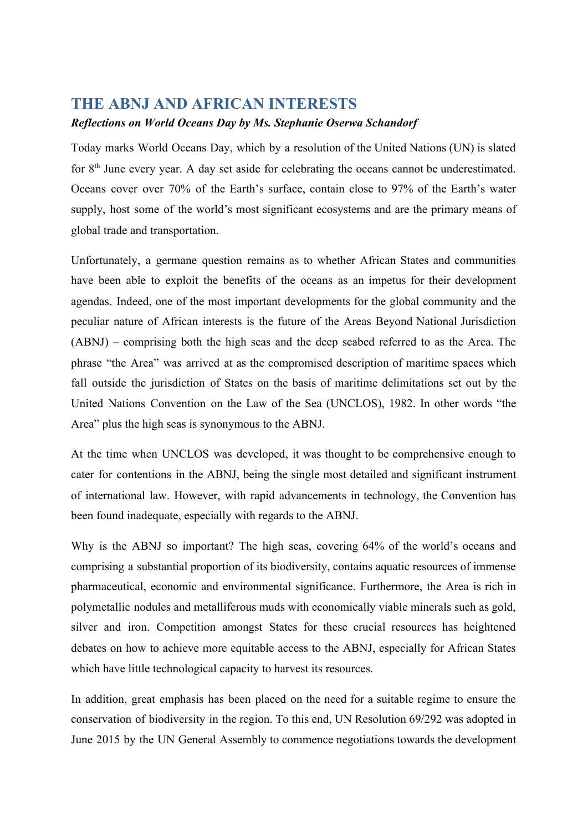## **THE ABNJ AND AFRICAN INTERESTS**

## *Reflections on World Oceans Day by Ms. Stephanie Oserwa Schandorf*

Today marks World Oceans Day, which by a resolution of the United Nations (UN) is slated for 8<sup>th</sup> June every year. A day set aside for celebrating the oceans cannot be underestimated. Oceans cover over 70% of the Earth's surface, contain close to 97% of the Earth's water supply, host some of the world's most significant ecosystems and are the primary means of global trade and transportation.

Unfortunately, a germane question remains as to whether African States and communities have been able to exploit the benefits of the oceans as an impetus for their development agendas. Indeed, one of the most important developments for the global community and the peculiar nature of African interests is the future of the Areas Beyond National Jurisdiction (ABNJ) – comprising both the high seas and the deep seabed referred to as the Area. The phrase "the Area" was arrived at as the compromised description of maritime spaces which fall outside the jurisdiction of States on the basis of maritime delimitations set out by the United Nations Convention on the Law of the Sea (UNCLOS), 1982. In other words "the Area" plus the high seas is synonymous to the ABNJ.

At the time when UNCLOS was developed, it was thought to be comprehensive enough to cater for contentions in the ABNJ, being the single most detailed and significant instrument of international law. However, with rapid advancements in technology, the Convention has been found inadequate, especially with regards to the ABNJ.

Why is the ABNJ so important? The high seas, covering 64% of the world's oceans and comprising a substantial proportion of its biodiversity, contains aquatic resources of immense pharmaceutical, economic and environmental significance. Furthermore, the Area is rich in polymetallic nodules and metalliferous muds with economically viable minerals such as gold, silver and iron. Competition amongst States for these crucial resources has heightened debates on how to achieve more equitable access to the ABNJ, especially for African States which have little technological capacity to harvest its resources.

In addition, great emphasis has been placed on the need for a suitable regime to ensure the conservation of biodiversity in the region. To this end, UN Resolution 69/292 was adopted in June 2015 by the UN General Assembly to commence negotiations towards the development